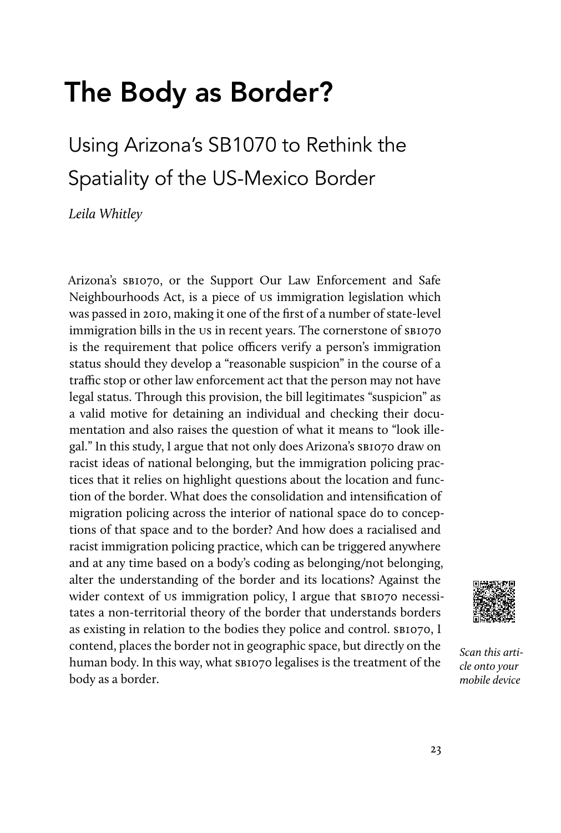# The Body as Border?

## Using Arizona's SB1070 to Rethink the Spatiality of the US-Mexico Border

*Leila Whitley*

Arizona's SBI070, or the Support Our Law Enforcement and Safe Neighbourhoods Act, is a piece of us immigration legislation which was passed in 2010, making it one of the first of a number of state-level immigration bills in the us in recent years. The cornerstone of  $s_{BIO7O}$ is the requirement that police officers verify a person's immigration status should they develop a "reasonable suspicion" in the course of a traffic stop or other law enforcement act that the person may not have legal status. Through this provision, the bill legitimates "suspicion" as a valid motive for detaining an individual and checking their documentation and also raises the question of what it means to "look illegal." In this study, I argue that not only does Arizona's sb1070 draw on racist ideas of national belonging, but the immigration policing practices that it relies on highlight questions about the location and function of the border. What does the consolidation and intensification of migration policing across the interior of national space do to conceptions of that space and to the border? And how does a racialised and racist immigration policing practice, which can be triggered anywhere and at any time based on a body's coding as belonging/not belonging, alter the understanding of the border and its locations? Against the wider context of us immigration policy, I argue that sb1070 necessitates a non-territorial theory of the border that understands borders as existing in relation to the bodies they police and control. SBI070, I contend, places the border not in geographic space, but directly on the human body. In this way, what sB1070 legalises is the treatment of the body as a border.



*Scan this article onto your mobile device*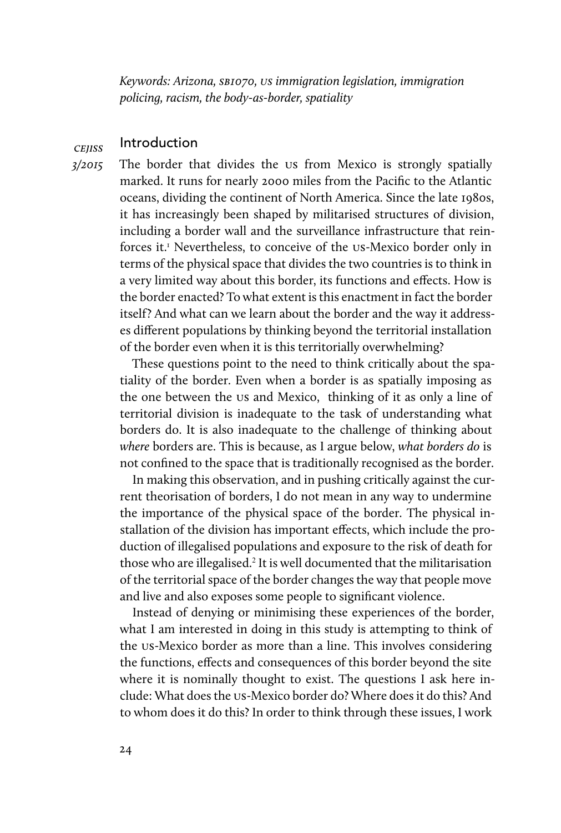*Keywords: Arizona,* sb*1070,* us *immigration legislation, immigration policing, racism, the body-as-border, spatiality*

#### **CEIISS** Introduction

*3/2015* The border that divides the us from Mexico is strongly spatially marked. It runs for nearly 2000 miles from the Pacific to the Atlantic oceans, dividing the continent of North America. Since the late 1980s, it has increasingly been shaped by militarised structures of division, including a border wall and the surveillance infrastructure that reinforces it.<sup>1</sup> Nevertheless, to conceive of the us-Mexico border only in terms of the physical space that divides the two countries is to think in a very limited way about this border, its functions and effects. How is the border enacted? To what extent is this enactment in fact the border itself? And what can we learn about the border and the way it addresses different populations by thinking beyond the territorial installation of the border even when it is this territorially overwhelming?

> These questions point to the need to think critically about the spatiality of the border. Even when a border is as spatially imposing as the one between the us and Mexico, thinking of it as only a line of territorial division is inadequate to the task of understanding what borders do. It is also inadequate to the challenge of thinking about *where* borders are. This is because, as I argue below, *what borders do* is not confined to the space that is traditionally recognised as the border.

> In making this observation, and in pushing critically against the current theorisation of borders, I do not mean in any way to undermine the importance of the physical space of the border. The physical installation of the division has important effects, which include the production of illegalised populations and exposure to the risk of death for those who are illegalised.<sup>2</sup> It is well documented that the militarisation of the territorial space of the border changes the way that people move and live and also exposes some people to significant violence.

> Instead of denying or minimising these experiences of the border, what I am interested in doing in this study is attempting to think of the us-Mexico border as more than a line. This involves considering the functions, effects and consequences of this border beyond the site where it is nominally thought to exist. The questions I ask here include: What does the us-Mexico border do? Where does it do this? And to whom does it do this? In order to think through these issues, I work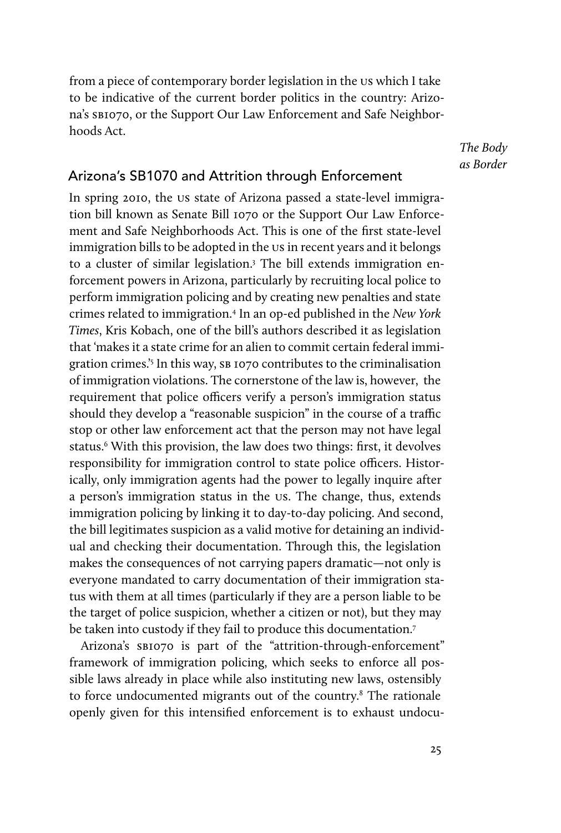from a piece of contemporary border legislation in the us which I take to be indicative of the current border politics in the country: Arizona's sB1070, or the Support Our Law Enforcement and Safe Neighborhoods Act.

> *The Body as Border*

### Arizona's SB1070 and Attrition through Enforcement

In spring 2010, the us state of Arizona passed a state-level immigration bill known as Senate Bill 1070 or the Support Our Law Enforcement and Safe Neighborhoods Act. This is one of the first state-level immigration bills to be adopted in the us in recent years and it belongs to a cluster of similar legislation.<sup>3</sup> The bill extends immigration enforcement powers in Arizona, particularly by recruiting local police to perform immigration policing and by creating new penalties and state crimes related to immigration.4 In an op-ed published in the *New York Times*, Kris Kobach, one of the bill's authors described it as legislation that 'makes it a state crime for an alien to commit certain federal immigration crimes.<sup>'5</sup> In this way, SB 1070 contributes to the criminalisation of immigration violations. The cornerstone of the law is, however, the requirement that police officers verify a person's immigration status should they develop a "reasonable suspicion" in the course of a traffic stop or other law enforcement act that the person may not have legal status.<sup>6</sup> With this provision, the law does two things: first, it devolves responsibility for immigration control to state police officers. Historically, only immigration agents had the power to legally inquire after a person's immigration status in the us. The change, thus, extends immigration policing by linking it to day-to-day policing. And second, the bill legitimates suspicion as a valid motive for detaining an individual and checking their documentation. Through this, the legislation makes the consequences of not carrying papers dramatic—not only is everyone mandated to carry documentation of their immigration status with them at all times (particularly if they are a person liable to be the target of police suspicion, whether a citizen or not), but they may be taken into custody if they fail to produce this documentation.7

Arizona's SBI070 is part of the "attrition-through-enforcement" framework of immigration policing, which seeks to enforce all possible laws already in place while also instituting new laws, ostensibly to force undocumented migrants out of the country.<sup>8</sup> The rationale openly given for this intensified enforcement is to exhaust undocu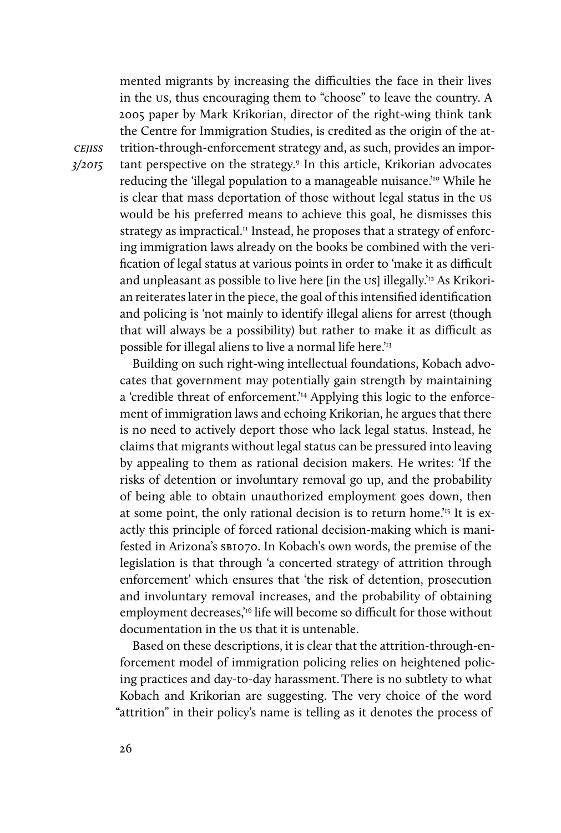mented migrants by increasing the difficulties the face in their lives in the us, thus encouraging them to "choose" to leave the country. A 2005 paper by Mark Krikorian, director of the right-wing think tank the Centre for Immigration Studies, is credited as the origin of the attrition-through-enforcement strategy and, as such, provides an important perspective on the strategy.9 In this article, Krikorian advocates reducing the 'illegal population to a manageable nuisance.'<sup>10</sup> While he is clear that mass deportation of those without legal status in the us would be his preferred means to achieve this goal, he dismisses this strategy as impractical. $\text{I}^{\text{II}}$  Instead, he proposes that a strategy of enforcing immigration laws already on the books be combined with the verification of legal status at various points in order to 'make it as difficult and unpleasant as possible to live here [in the us] illegally.<sup>'12</sup> As Krikorian reiterates later in the piece, the goal of this intensified identification and policing is 'not mainly to identify illegal aliens for arrest (though that will always be a possibility) but rather to make it as difficult as possible for illegal aliens to live a normal life here.<sup>'13</sup>

Building on such right-wing intellectual foundations, Kobach advocates that government may potentially gain strength by maintaining a 'credible threat of enforcement.'14 Applying this logic to the enforcement of immigration laws and echoing Krikorian, he argues that there is no need to actively deport those who lack legal status. Instead, he claims that migrants without legal status can be pressured into leaving by appealing to them as rational decision makers. He writes: 'If the risks of detention or involuntary removal go up, and the probability of being able to obtain unauthorized employment goes down, then at some point, the only rational decision is to return home.<sup>15</sup> It is exactly this principle of forced rational decision-making which is manifested in Arizona's sb1070. In Kobach's own words, the premise of the legislation is that through 'a concerted strategy of attrition through enforcement' which ensures that 'the risk of detention, prosecution and involuntary removal increases, and the probability of obtaining employment decreases,<sup>16</sup> life will become so difficult for those without documentation in the us that it is untenable.

Based on these descriptions, it is clear that the attrition-through-enforcement model of immigration policing relies on heightened policing practices and day-to-day harassment.There is no subtlety to what Kobach and Krikorian are suggesting. The very choice of the word "attrition" in their policy's name is telling as it denotes the process of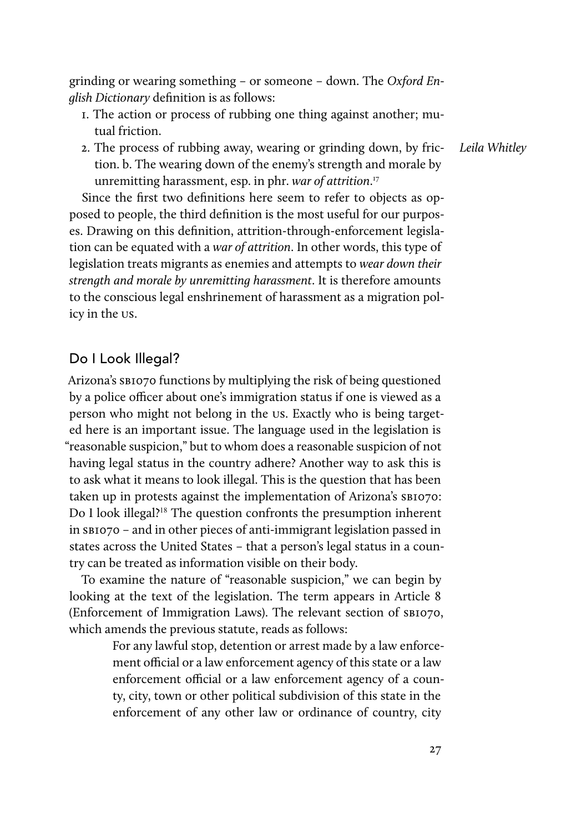grinding or wearing something – or someone – down. The *Oxford English Dictionary* definition is as follows:

- 1. The action or process of rubbing one thing against another; mutual friction.
- 2. The process of rubbing away, wearing or grinding down, by friction. b. The wearing down of the enemy's strength and morale by unremitting harassment, esp. in phr. *war of attrition*. 17

Since the first two definitions here seem to refer to objects as opposed to people, the third definition is the most useful for our purposes. Drawing on this definition, attrition-through-enforcement legislation can be equated with a *war of attrition*. In other words, this type of legislation treats migrants as enemies and attempts to *wear down their strength and morale by unremitting harassment*. It is therefore amounts to the conscious legal enshrinement of harassment as a migration policy in the us.

#### Do I Look Illegal?

Arizona's sb1070 functions by multiplying the risk of being questioned by a police officer about one's immigration status if one is viewed as a person who might not belong in the us. Exactly who is being targeted here is an important issue. The language used in the legislation is "reasonable suspicion," but to whom does a reasonable suspicion of not having legal status in the country adhere? Another way to ask this is to ask what it means to look illegal. This is the question that has been taken up in protests against the implementation of Arizona's SBI070: Do I look illegal?<sup>18</sup> The question confronts the presumption inherent in sb1070 – and in other pieces of anti-immigrant legislation passed in states across the United States – that a person's legal status in a country can be treated as information visible on their body.

To examine the nature of "reasonable suspicion," we can begin by looking at the text of the legislation. The term appears in Article 8 (Enforcement of Immigration Laws). The relevant section of sb1070, which amends the previous statute, reads as follows:

> For any lawful stop, detention or arrest made by a law enforcement official or a law enforcement agency of this state or a law enforcement official or a law enforcement agency of a county, city, town or other political subdivision of this state in the enforcement of any other law or ordinance of country, city

*Leila Whitley*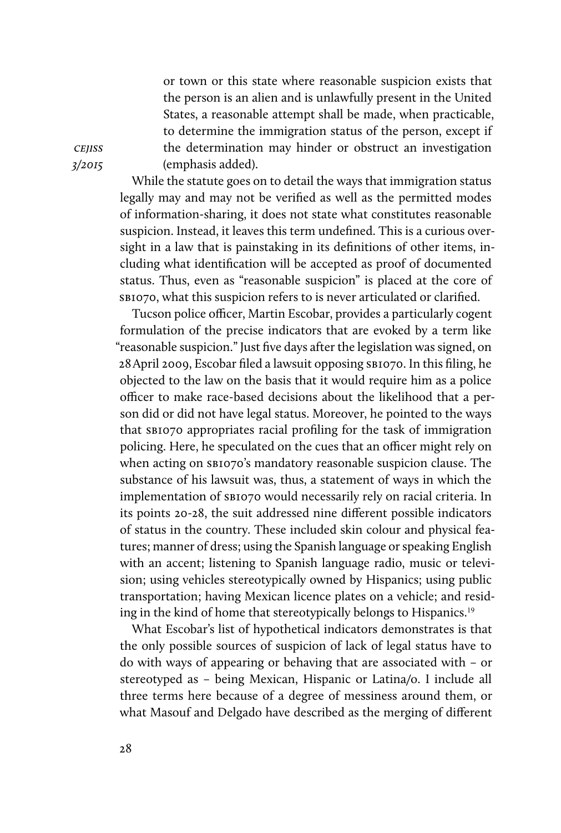or town or this state where reasonable suspicion exists that the person is an alien and is unlawfully present in the United States, a reasonable attempt shall be made, when practicable, to determine the immigration status of the person, except if the determination may hinder or obstruct an investigation (emphasis added).

While the statute goes on to detail the ways that immigration status legally may and may not be verified as well as the permitted modes of information-sharing, it does not state what constitutes reasonable suspicion. Instead, it leaves this term undefined. This is a curious oversight in a law that is painstaking in its definitions of other items, including what identification will be accepted as proof of documented status. Thus, even as "reasonable suspicion" is placed at the core of sb1070, what this suspicion refers to is never articulated or clarified.

Tucson police officer, Martin Escobar, provides a particularly cogent formulation of the precise indicators that are evoked by a term like "reasonable suspicion." Just five days after the legislation was signed, on 28April 2009, Escobar filed a lawsuit opposing sb1070. In this filing, he objected to the law on the basis that it would require him as a police officer to make race-based decisions about the likelihood that a person did or did not have legal status. Moreover, he pointed to the ways that sb1070 appropriates racial profiling for the task of immigration policing. Here, he speculated on the cues that an officer might rely on when acting on  $s_{\text{BIO70}}$ 's mandatory reasonable suspicion clause. The substance of his lawsuit was, thus, a statement of ways in which the implementation of sb1070 would necessarily rely on racial criteria. In its points 20-28, the suit addressed nine different possible indicators of status in the country. These included skin colour and physical features; manner of dress; using the Spanish language or speaking English with an accent; listening to Spanish language radio, music or television; using vehicles stereotypically owned by Hispanics; using public transportation; having Mexican licence plates on a vehicle; and residing in the kind of home that stereotypically belongs to Hispanics.<sup>19</sup>

What Escobar's list of hypothetical indicators demonstrates is that the only possible sources of suspicion of lack of legal status have to do with ways of appearing or behaving that are associated with – or stereotyped as – being Mexican, Hispanic or Latina/o. I include all three terms here because of a degree of messiness around them, or what Masouf and Delgado have described as the merging of different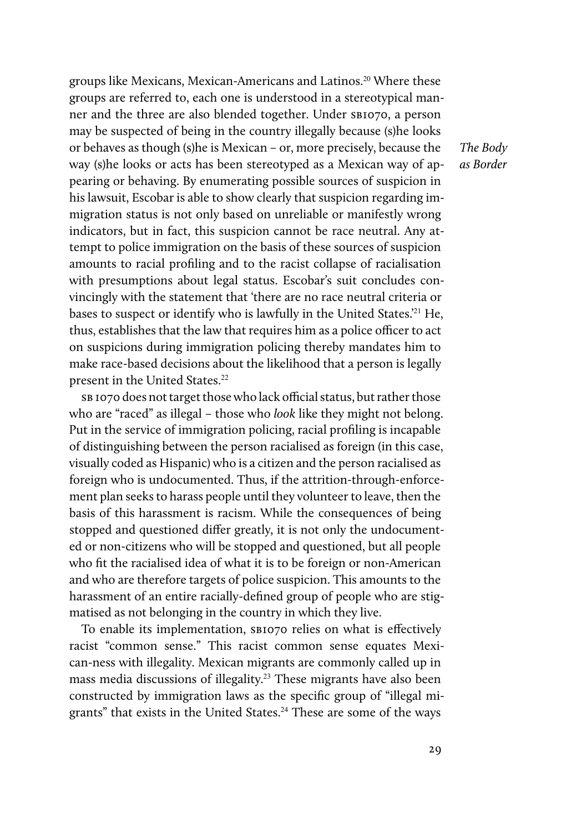groups like Mexicans, Mexican-Americans and Latinos.<sup>20</sup> Where these groups are referred to, each one is understood in a stereotypical manner and the three are also blended together. Under SBI070, a person may be suspected of being in the country illegally because (s)he looks or behaves as though (s)he is Mexican – or, more precisely, because the way (s)he looks or acts has been stereotyped as a Mexican way of appearing or behaving. By enumerating possible sources of suspicion in his lawsuit, Escobar is able to show clearly that suspicion regarding immigration status is not only based on unreliable or manifestly wrong indicators, but in fact, this suspicion cannot be race neutral. Any attempt to police immigration on the basis of these sources of suspicion amounts to racial profiling and to the racist collapse of racialisation with presumptions about legal status. Escobar's suit concludes convincingly with the statement that 'there are no race neutral criteria or bases to suspect or identify who is lawfully in the United States.<sup>'21</sup> He, thus, establishes that the law that requires him as a police officer to act on suspicions during immigration policing thereby mandates him to make race-based decisions about the likelihood that a person is legally present in the United States.<sup>22</sup>

SB 1070 does not target those who lack official status, but rather those who are "raced" as illegal – those who *look* like they might not belong. Put in the service of immigration policing, racial profiling is incapable of distinguishing between the person racialised as foreign (in this case, visually coded as Hispanic) who is a citizen and the person racialised as foreign who is undocumented. Thus, if the attrition-through-enforcement plan seeks to harass people until they volunteer to leave, then the basis of this harassment is racism. While the consequences of being stopped and questioned differ greatly, it is not only the undocumented or non-citizens who will be stopped and questioned, but all people who fit the racialised idea of what it is to be foreign or non-American and who are therefore targets of police suspicion. This amounts to the harassment of an entire racially-defined group of people who are stigmatised as not belonging in the country in which they live.

To enable its implementation, SBIO70 relies on what is effectively racist "common sense." This racist common sense equates Mexican-ness with illegality. Mexican migrants are commonly called up in mass media discussions of illegality.<sup>23</sup> These migrants have also been constructed by immigration laws as the specific group of "illegal migrants" that exists in the United States.<sup>24</sup> These are some of the ways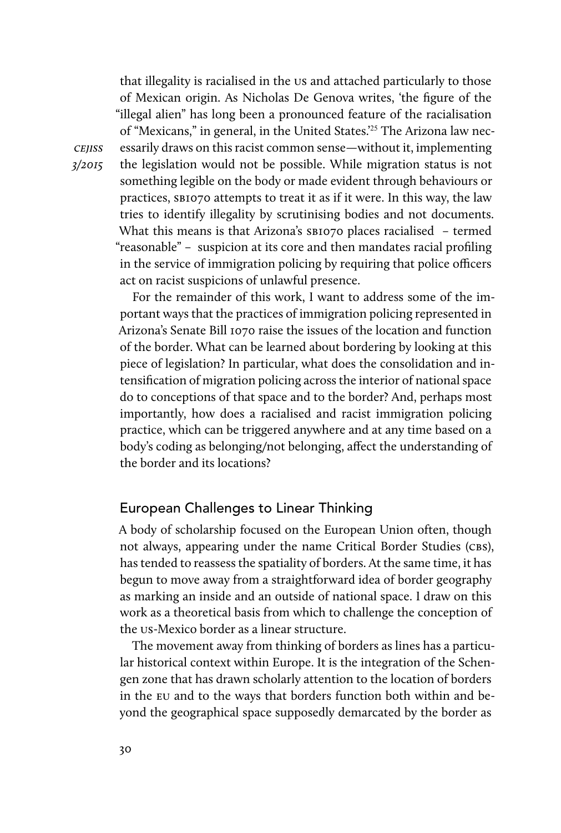that illegality is racialised in the us and attached particularly to those of Mexican origin. As Nicholas De Genova writes, 'the figure of the "illegal alien" has long been a pronounced feature of the racialisation of "Mexicans," in general, in the United States.'25 The Arizona law necessarily draws on this racist common sense—without it, implementing the legislation would not be possible. While migration status is not something legible on the body or made evident through behaviours or practices, sb1070 attempts to treat it as if it were. In this way, the law tries to identify illegality by scrutinising bodies and not documents. What this means is that Arizona's sBI070 places racialised - termed "reasonable" – suspicion at its core and then mandates racial profiling in the service of immigration policing by requiring that police officers act on racist suspicions of unlawful presence.

For the remainder of this work, I want to address some of the important ways that the practices of immigration policing represented in Arizona's Senate Bill 1070 raise the issues of the location and function of the border. What can be learned about bordering by looking at this piece of legislation? In particular, what does the consolidation and intensification of migration policing across the interior of national space do to conceptions of that space and to the border? And, perhaps most importantly, how does a racialised and racist immigration policing practice, which can be triggered anywhere and at any time based on a body's coding as belonging/not belonging, affect the understanding of the border and its locations?

#### European Challenges to Linear Thinking

A body of scholarship focused on the European Union often, though not always, appearing under the name Critical Border Studies (CBS), has tended to reassess the spatiality of borders. At the same time, it has begun to move away from a straightforward idea of border geography as marking an inside and an outside of national space. I draw on this work as a theoretical basis from which to challenge the conception of the us-Mexico border as a linear structure.

The movement away from thinking of borders as lines has a particular historical context within Europe. It is the integration of the Schengen zone that has drawn scholarly attention to the location of borders in the eu and to the ways that borders function both within and beyond the geographical space supposedly demarcated by the border as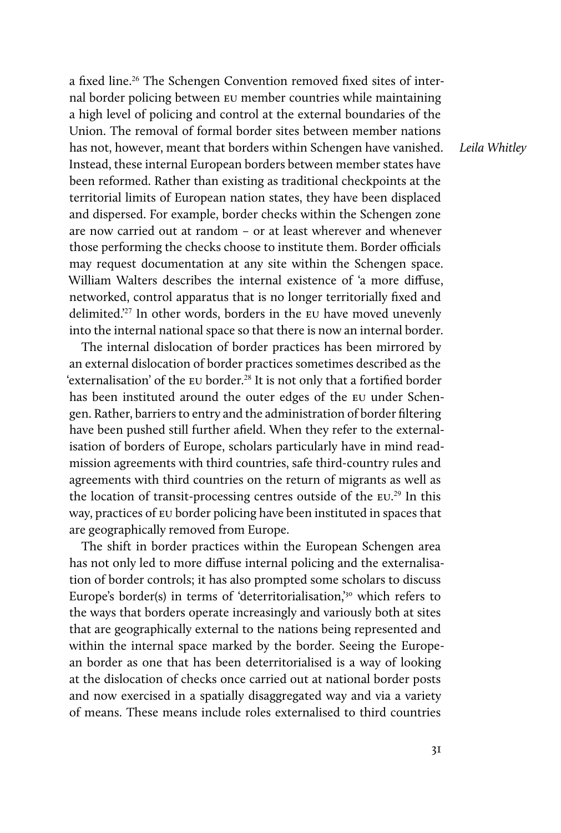a fixed line.<sup>26</sup> The Schengen Convention removed fixed sites of internal border policing between eu member countries while maintaining a high level of policing and control at the external boundaries of the Union. The removal of formal border sites between member nations has not, however, meant that borders within Schengen have vanished. Instead, these internal European borders between member states have been reformed. Rather than existing as traditional checkpoints at the territorial limits of European nation states, they have been displaced and dispersed. For example, border checks within the Schengen zone are now carried out at random – or at least wherever and whenever those performing the checks choose to institute them. Border officials may request documentation at any site within the Schengen space. William Walters describes the internal existence of 'a more diffuse, networked, control apparatus that is no longer territorially fixed and delimited.<sup>27</sup> In other words, borders in the EU have moved unevenly into the internal national space so that there is now an internal border.

The internal dislocation of border practices has been mirrored by an external dislocation of border practices sometimes described as the 'externalisation' of the EU border.<sup>28</sup> It is not only that a fortified border has been instituted around the outer edges of the eu under Schengen. Rather, barriers to entry and the administration of border filtering have been pushed still further afield. When they refer to the externalisation of borders of Europe, scholars particularly have in mind readmission agreements with third countries, safe third-country rules and agreements with third countries on the return of migrants as well as the location of transit-processing centres outside of the eu. <sup>29</sup> In this way, practices of eu border policing have been instituted in spaces that are geographically removed from Europe.

The shift in border practices within the European Schengen area has not only led to more diffuse internal policing and the externalisation of border controls; it has also prompted some scholars to discuss Europe's border(s) in terms of 'deterritorialisation,'30 which refers to the ways that borders operate increasingly and variously both at sites that are geographically external to the nations being represented and within the internal space marked by the border. Seeing the European border as one that has been deterritorialised is a way of looking at the dislocation of checks once carried out at national border posts and now exercised in a spatially disaggregated way and via a variety of means. These means include roles externalised to third countries

*Leila Whitley*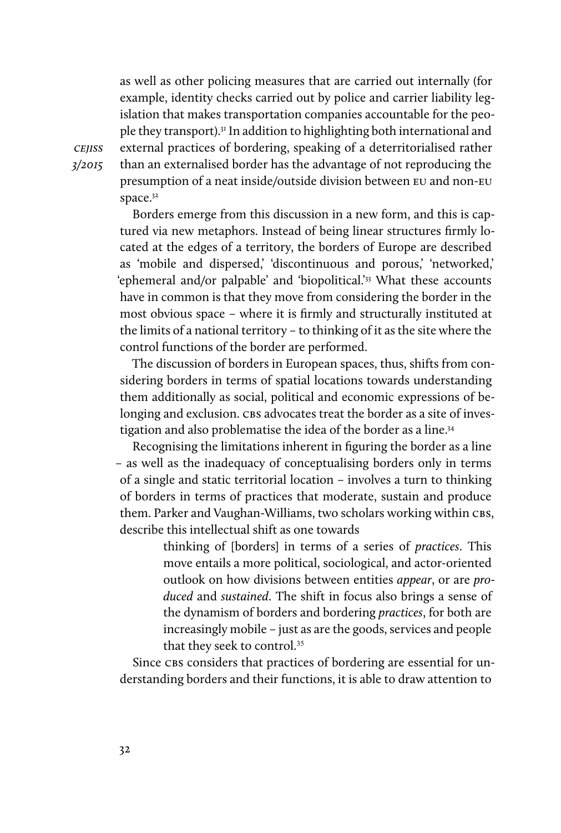as well as other policing measures that are carried out internally (for example, identity checks carried out by police and carrier liability legislation that makes transportation companies accountable for the people they transport).31 In addition to highlighting both international and external practices of bordering, speaking of a deterritorialised rather than an externalised border has the advantage of not reproducing the presumption of a neat inside/outside division between eu and non-eu space.<sup>32</sup>

Borders emerge from this discussion in a new form, and this is captured via new metaphors. Instead of being linear structures firmly located at the edges of a territory, the borders of Europe are described as 'mobile and dispersed,' 'discontinuous and porous,' 'networked,' 'ephemeral and/or palpable' and 'biopolitical.'33 What these accounts have in common is that they move from considering the border in the most obvious space – where it is firmly and structurally instituted at the limits of a national territory – to thinking of it as the site where the control functions of the border are performed.

The discussion of borders in European spaces, thus, shifts from considering borders in terms of spatial locations towards understanding them additionally as social, political and economic expressions of belonging and exclusion. CBS advocates treat the border as a site of investigation and also problematise the idea of the border as a line.34

Recognising the limitations inherent in figuring the border as a line – as well as the inadequacy of conceptualising borders only in terms of a single and static territorial location – involves a turn to thinking of borders in terms of practices that moderate, sustain and produce them. Parker and Vaughan-Williams, two scholars working within CBS, describe this intellectual shift as one towards

> thinking of [borders] in terms of a series of *practices*. This move entails a more political, sociological, and actor-oriented outlook on how divisions between entities *appear*, or are *produced* and *sustained*. The shift in focus also brings a sense of the dynamism of borders and bordering *practices*, for both are increasingly mobile – just as are the goods, services and people that they seek to control.<sup>35</sup>

Since CBS considers that practices of bordering are essential for understanding borders and their functions, it is able to draw attention to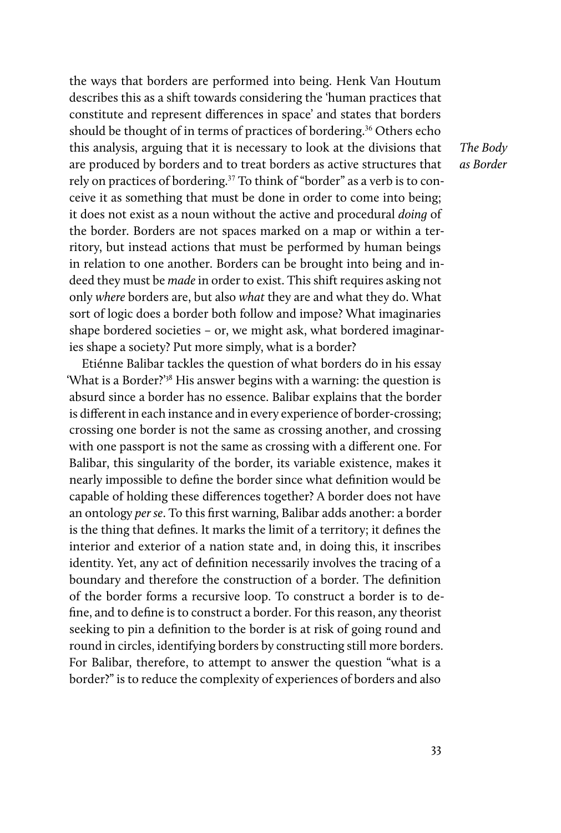the ways that borders are performed into being. Henk Van Houtum describes this as a shift towards considering the 'human practices that constitute and represent differences in space' and states that borders should be thought of in terms of practices of bordering.<sup>36</sup> Others echo this analysis, arguing that it is necessary to look at the divisions that are produced by borders and to treat borders as active structures that rely on practices of bordering.<sup>37</sup> To think of "border" as a verb is to conceive it as something that must be done in order to come into being; it does not exist as a noun without the active and procedural *doing* of the border. Borders are not spaces marked on a map or within a territory, but instead actions that must be performed by human beings in relation to one another. Borders can be brought into being and indeed they must be *made* in order to exist. This shift requires asking not only *where* borders are, but also *what* they are and what they do. What sort of logic does a border both follow and impose? What imaginaries shape bordered societies – or, we might ask, what bordered imaginaries shape a society? Put more simply, what is a border?

Etiénne Balibar tackles the question of what borders do in his essay 'What is a Border?'38 His answer begins with a warning: the question is absurd since a border has no essence. Balibar explains that the border is different in each instance and in every experience of border-crossing; crossing one border is not the same as crossing another, and crossing with one passport is not the same as crossing with a different one. For Balibar, this singularity of the border, its variable existence, makes it nearly impossible to define the border since what definition would be capable of holding these differences together? A border does not have an ontology *per se*. To this first warning, Balibar adds another: a border is the thing that defines. It marks the limit of a territory; it defines the interior and exterior of a nation state and, in doing this, it inscribes identity. Yet, any act of definition necessarily involves the tracing of a boundary and therefore the construction of a border. The definition of the border forms a recursive loop. To construct a border is to define, and to define is to construct a border. For this reason, any theorist seeking to pin a definition to the border is at risk of going round and round in circles, identifying borders by constructing still more borders. For Balibar, therefore, to attempt to answer the question "what is a border?" is to reduce the complexity of experiences of borders and also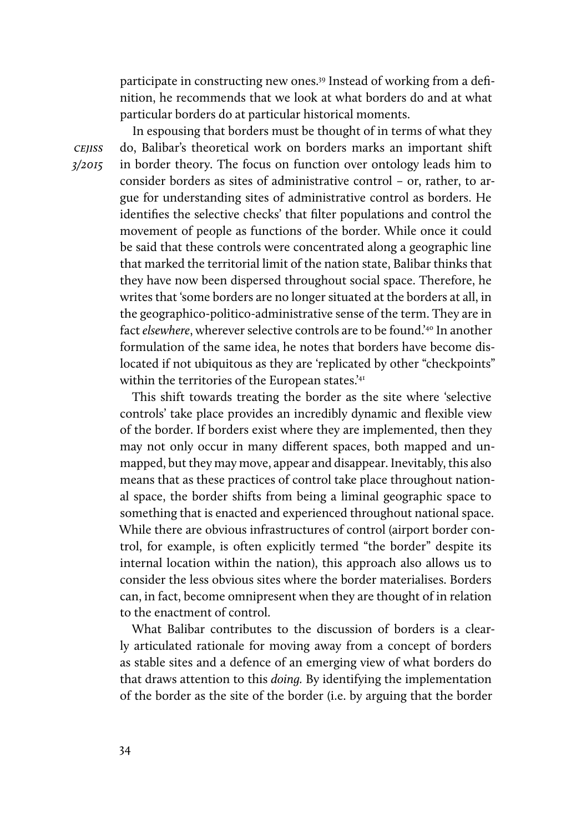participate in constructing new ones.<sup>39</sup> Instead of working from a definition, he recommends that we look at what borders do and at what particular borders do at particular historical moments.

In espousing that borders must be thought of in terms of what they do, Balibar's theoretical work on borders marks an important shift in border theory. The focus on function over ontology leads him to consider borders as sites of administrative control – or, rather, to argue for understanding sites of administrative control as borders. He identifies the selective checks' that filter populations and control the movement of people as functions of the border. While once it could be said that these controls were concentrated along a geographic line that marked the territorial limit of the nation state, Balibar thinks that they have now been dispersed throughout social space. Therefore, he writes that 'some borders are no longer situated at the borders at all, in the geographico-politico-administrative sense of the term. They are in fact *elsewhere*, wherever selective controls are to be found.'40 In another formulation of the same idea, he notes that borders have become dislocated if not ubiquitous as they are 'replicated by other "checkpoints" within the territories of the European states.'41

This shift towards treating the border as the site where 'selective controls' take place provides an incredibly dynamic and flexible view of the border. If borders exist where they are implemented, then they may not only occur in many different spaces, both mapped and unmapped, but they may move, appear and disappear. Inevitably, this also means that as these practices of control take place throughout national space, the border shifts from being a liminal geographic space to something that is enacted and experienced throughout national space. While there are obvious infrastructures of control (airport border control, for example, is often explicitly termed "the border" despite its internal location within the nation), this approach also allows us to consider the less obvious sites where the border materialises. Borders can, in fact, become omnipresent when they are thought of in relation to the enactment of control.

What Balibar contributes to the discussion of borders is a clearly articulated rationale for moving away from a concept of borders as stable sites and a defence of an emerging view of what borders do that draws attention to this *doing.* By identifying the implementation of the border as the site of the border (i.e. by arguing that the border

cejiss *3/2015*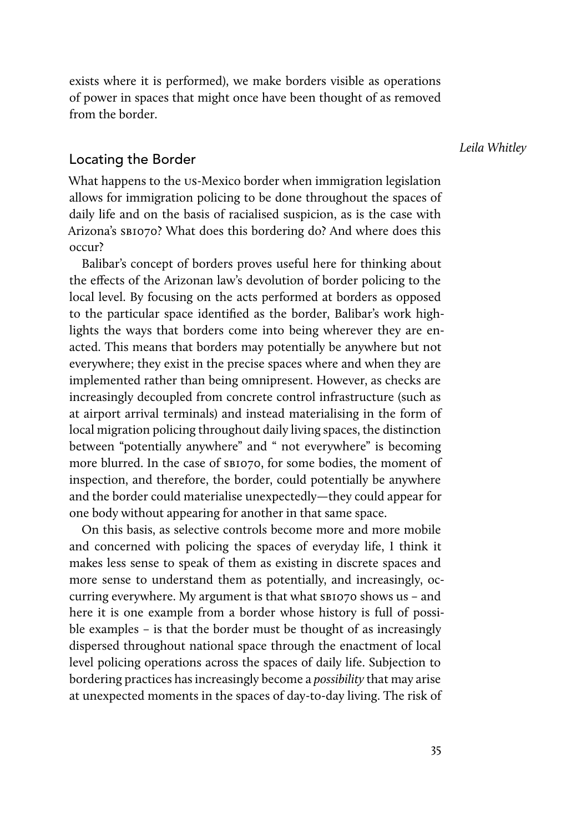exists where it is performed), we make borders visible as operations of power in spaces that might once have been thought of as removed from the border.

*Leila Whitley*

#### Locating the Border

What happens to the us-Mexico border when immigration legislation allows for immigration policing to be done throughout the spaces of daily life and on the basis of racialised suspicion, as is the case with Arizona's SB1070? What does this bordering do? And where does this occur?

Balibar's concept of borders proves useful here for thinking about the effects of the Arizonan law's devolution of border policing to the local level. By focusing on the acts performed at borders as opposed to the particular space identified as the border, Balibar's work highlights the ways that borders come into being wherever they are enacted. This means that borders may potentially be anywhere but not everywhere; they exist in the precise spaces where and when they are implemented rather than being omnipresent. However, as checks are increasingly decoupled from concrete control infrastructure (such as at airport arrival terminals) and instead materialising in the form of local migration policing throughout daily living spaces, the distinction between "potentially anywhere" and " not everywhere" is becoming more blurred. In the case of  $\text{SBIO7O}$ , for some bodies, the moment of inspection, and therefore, the border, could potentially be anywhere and the border could materialise unexpectedly—they could appear for one body without appearing for another in that same space.

On this basis, as selective controls become more and more mobile and concerned with policing the spaces of everyday life, I think it makes less sense to speak of them as existing in discrete spaces and more sense to understand them as potentially, and increasingly, occurring everywhere. My argument is that what sB1070 shows us - and here it is one example from a border whose history is full of possible examples – is that the border must be thought of as increasingly dispersed throughout national space through the enactment of local level policing operations across the spaces of daily life. Subjection to bordering practices has increasingly become a *possibility* that may arise at unexpected moments in the spaces of day-to-day living. The risk of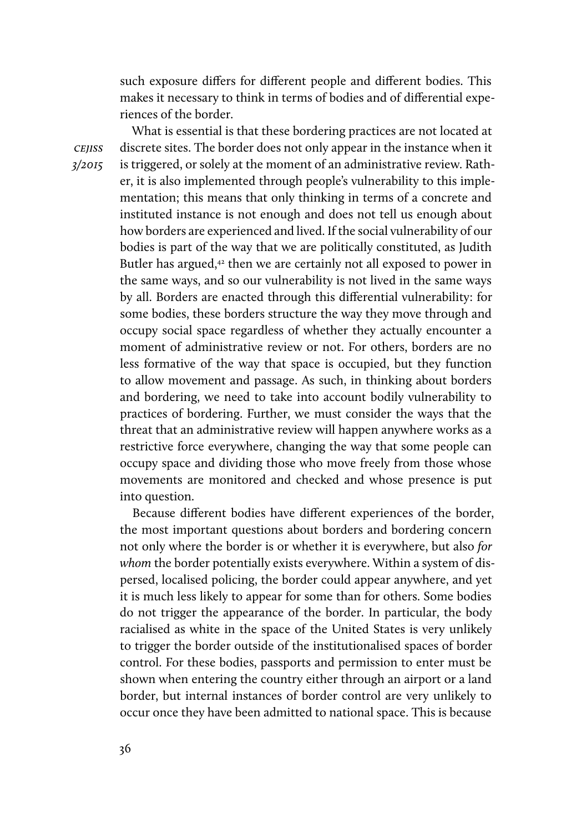such exposure differs for different people and different bodies. This makes it necessary to think in terms of bodies and of differential experiences of the border.

What is essential is that these bordering practices are not located at discrete sites. The border does not only appear in the instance when it is triggered, or solely at the moment of an administrative review. Rather, it is also implemented through people's vulnerability to this implementation; this means that only thinking in terms of a concrete and instituted instance is not enough and does not tell us enough about how borders are experienced and lived. If the social vulnerability of our bodies is part of the way that we are politically constituted, as Judith Butler has argued, $42$  then we are certainly not all exposed to power in the same ways, and so our vulnerability is not lived in the same ways by all. Borders are enacted through this differential vulnerability: for some bodies, these borders structure the way they move through and occupy social space regardless of whether they actually encounter a moment of administrative review or not. For others, borders are no less formative of the way that space is occupied, but they function to allow movement and passage. As such, in thinking about borders and bordering, we need to take into account bodily vulnerability to practices of bordering. Further, we must consider the ways that the threat that an administrative review will happen anywhere works as a restrictive force everywhere, changing the way that some people can occupy space and dividing those who move freely from those whose movements are monitored and checked and whose presence is put into question.

Because different bodies have different experiences of the border, the most important questions about borders and bordering concern not only where the border is or whether it is everywhere, but also *for whom* the border potentially exists everywhere. Within a system of dispersed, localised policing, the border could appear anywhere, and yet it is much less likely to appear for some than for others. Some bodies do not trigger the appearance of the border. In particular, the body racialised as white in the space of the United States is very unlikely to trigger the border outside of the institutionalised spaces of border control. For these bodies, passports and permission to enter must be shown when entering the country either through an airport or a land border, but internal instances of border control are very unlikely to occur once they have been admitted to national space. This is because

cejiss *3/2015*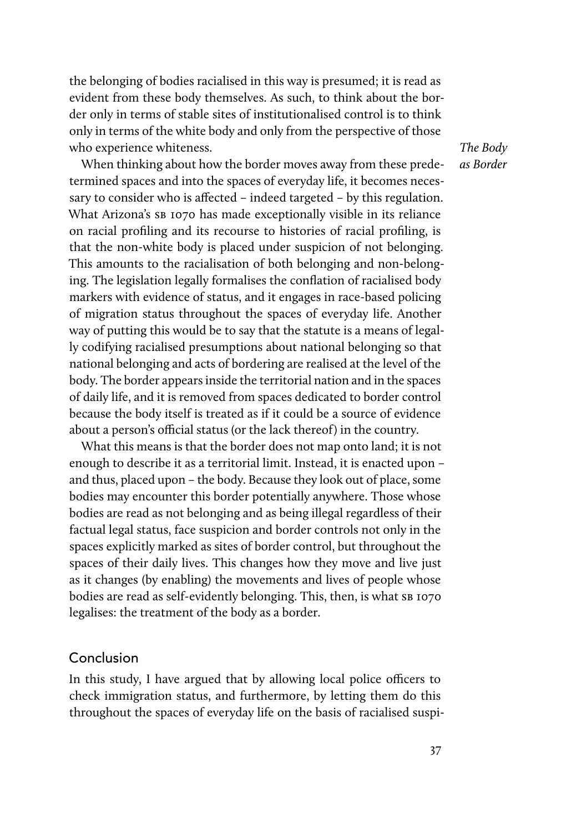the belonging of bodies racialised in this way is presumed; it is read as evident from these body themselves. As such, to think about the border only in terms of stable sites of institutionalised control is to think only in terms of the white body and only from the perspective of those who experience whiteness.

When thinking about how the border moves away from these predetermined spaces and into the spaces of everyday life, it becomes necessary to consider who is affected – indeed targeted – by this regulation. What Arizona's sb 1070 has made exceptionally visible in its reliance on racial profiling and its recourse to histories of racial profiling, is that the non-white body is placed under suspicion of not belonging. This amounts to the racialisation of both belonging and non-belonging. The legislation legally formalises the conflation of racialised body markers with evidence of status, and it engages in race-based policing of migration status throughout the spaces of everyday life. Another way of putting this would be to say that the statute is a means of legally codifying racialised presumptions about national belonging so that national belonging and acts of bordering are realised at the level of the body. The border appears inside the territorial nation and in the spaces of daily life, and it is removed from spaces dedicated to border control because the body itself is treated as if it could be a source of evidence about a person's official status (or the lack thereof) in the country.

What this means is that the border does not map onto land; it is not enough to describe it as a territorial limit. Instead, it is enacted upon – and thus, placed upon – the body. Because they look out of place, some bodies may encounter this border potentially anywhere. Those whose bodies are read as not belonging and as being illegal regardless of their factual legal status, face suspicion and border controls not only in the spaces explicitly marked as sites of border control, but throughout the spaces of their daily lives. This changes how they move and live just as it changes (by enabling) the movements and lives of people whose bodies are read as self-evidently belonging. This, then, is what SB 1070 legalises: the treatment of the body as a border.

#### Conclusion

In this study, I have argued that by allowing local police officers to check immigration status, and furthermore, by letting them do this throughout the spaces of everyday life on the basis of racialised suspi-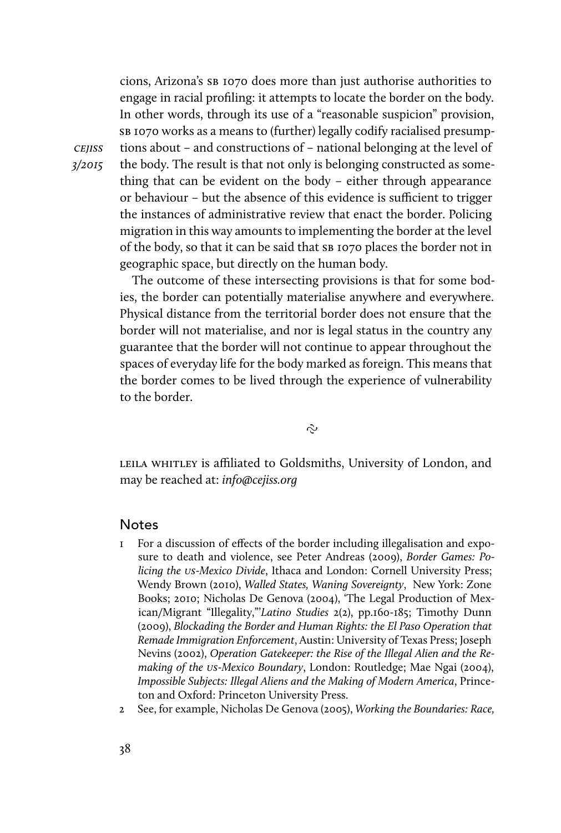cions, Arizona's sb 1070 does more than just authorise authorities to engage in racial profiling: it attempts to locate the border on the body. In other words, through its use of a "reasonable suspicion" provision, sb 1070 works as a means to (further) legally codify racialised presumptions about – and constructions of – national belonging at the level of the body. The result is that not only is belonging constructed as something that can be evident on the body – either through appearance or behaviour – but the absence of this evidence is sufficient to trigger the instances of administrative review that enact the border. Policing migration in this way amounts to implementing the border at the level of the body, so that it can be said that sp 1070 places the border not in geographic space, but directly on the human body.

The outcome of these intersecting provisions is that for some bodies, the border can potentially materialise anywhere and everywhere. Physical distance from the territorial border does not ensure that the border will not materialise, and nor is legal status in the country any guarantee that the border will not continue to appear throughout the spaces of everyday life for the body marked as foreign. This means that the border comes to be lived through the experience of vulnerability to the border.

 $\tilde{C}$ 

LEILA WHITLEY is affiliated to Goldsmiths, University of London, and may be reached at: *info@cejiss.org*

#### **Notes**

- 1 For a discussion of effects of the border including illegalisation and exposure to death and violence, see Peter Andreas (2009), *Border Games: Policing the* us*-Mexico Divide*, Ithaca and London: Cornell University Press; Wendy Brown (2010), *Walled States, Waning Sovereignty*, New York: Zone Books; 2010; Nicholas De Genova (2004), 'The Legal Production of Mexican/Migrant "Illegality,"'*Latino Studies* 2(2), pp.160-185; Timothy Dunn (2009), *Blockading the Border and Human Rights: the El Paso Operation that Remade Immigration Enforcement*, Austin: University of Texas Press; Joseph Nevins (2002), *Operation Gatekeeper: the Rise of the Illegal Alien and the Remaking of the* us*-Mexico Boundary*, London: Routledge; Mae Ngai (2004), *Impossible Subjects: Illegal Aliens and the Making of Modern America*, Princeton and Oxford: Princeton University Press.
- 2 See, for example, Nicholas De Genova (2005), *Working the Boundaries: Race,*

*3/2015*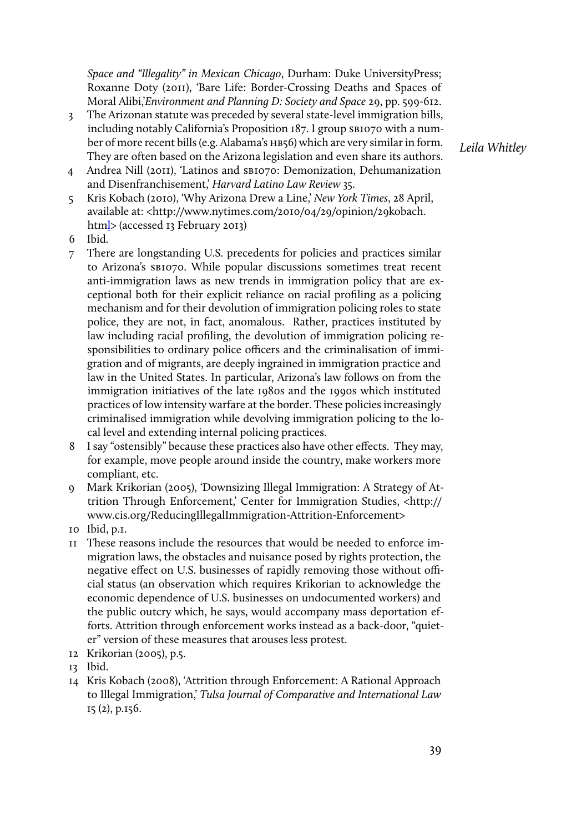*Space and "Illegality" in Mexican Chicago*, Durham: Duke UniversityPress; Roxanne Doty (2011), 'Bare Life: Border-Crossing Deaths and Spaces of Moral Alibi,'*Environment and Planning D: Society and Space* 29, pp. 599-612.

- 3 The Arizonan statute was preceded by several state-level immigration bills, including notably California's Proposition 187. I group SBI070 with a number of more recent bills (e.g. Alabama's HB56) which are very similar in form. They are often based on the Arizona legislation and even share its authors.
- 4 Andrea Nill (2011), 'Latinos and sb1070: Demonization, Dehumanization and Disenfranchisement,' *Harvard Latino Law Review* 35.
- 5 Kris Kobach (2010), 'Why Arizona Drew a Line,' *New York Times*, 28 April, available at: <http://www.nytimes.com/2010/04/29/opinion/29kobach. html> (accessed 13 February 2013)
- 6 Ibid.
- 7 There are longstanding U.S. precedents for policies and practices similar to Arizona's sb1070. While popular discussions sometimes treat recent anti-immigration laws as new trends in immigration policy that are exceptional both for their explicit reliance on racial profiling as a policing mechanism and for their devolution of immigration policing roles to state police, they are not, in fact, anomalous. Rather, practices instituted by law including racial profiling, the devolution of immigration policing responsibilities to ordinary police officers and the criminalisation of immigration and of migrants, are deeply ingrained in immigration practice and law in the United States. In particular, Arizona's law follows on from the immigration initiatives of the late 1980s and the 1990s which instituted practices of low intensity warfare at the border. These policies increasingly criminalised immigration while devolving immigration policing to the local level and extending internal policing practices.
- 8 I say "ostensibly" because these practices also have other effects. They may, for example, move people around inside the country, make workers more compliant, etc.
- 9 Mark Krikorian (2005), 'Downsizing Illegal Immigration: A Strategy of Attrition Through Enforcement,' Center for Immigration Studies, <http:// www.cis.org/ReducingIllegalImmigration-Attrition-Enforcement>
- 10 Ibid, p.1.
- 11 These reasons include the resources that would be needed to enforce immigration laws, the obstacles and nuisance posed by rights protection, the negative effect on U.S. businesses of rapidly removing those without official status (an observation which requires Krikorian to acknowledge the economic dependence of U.S. businesses on undocumented workers) and the public outcry which, he says, would accompany mass deportation efforts. Attrition through enforcement works instead as a back-door, "quieter" version of these measures that arouses less protest.
- 12 Krikorian (2005), p.5.
- 13 Ibid.
- 14 Kris Kobach (2008), 'Attrition through Enforcement: A Rational Approach to Illegal Immigration,' *Tulsa Journal of Comparative and International Law* 15 (2), p.156.

*Leila Whitley*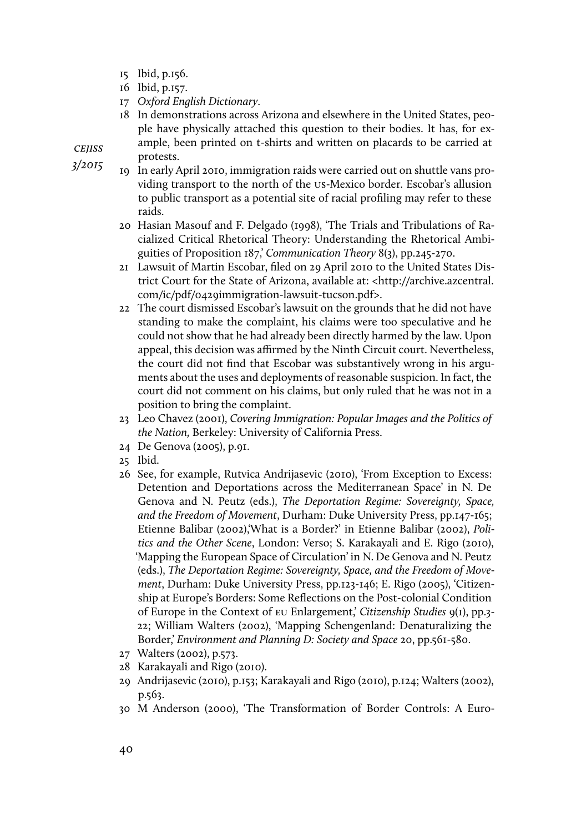- 15 Ibid, p.156.
- 16 Ibid, p.157.
- 17 *Oxford English Dictionary*.
- 18 In demonstrations across Arizona and elsewhere in the United States, people have physically attached this question to their bodies. It has, for example, been printed on t-shirts and written on placards to be carried at protests.

- 19 In early April 2010, immigration raids were carried out on shuttle vans providing transport to the north of the us-Mexico border. Escobar's allusion to public transport as a potential site of racial profiling may refer to these raids.
- 20 Hasian Masouf and F. Delgado (1998), 'The Trials and Tribulations of Racialized Critical Rhetorical Theory: Understanding the Rhetorical Ambiguities of Proposition 187,' *Communication Theory* 8(3), pp.245-270.
- 21 Lawsuit of Martin Escobar, filed on 29 April 2010 to the United States District Court for the State of Arizona, available at: <http://archive.azcentral. com/ic/pdf/0429immigration-lawsuit-tucson.pdf>.
- 22 The court dismissed Escobar's lawsuit on the grounds that he did not have standing to make the complaint, his claims were too speculative and he could not show that he had already been directly harmed by the law. Upon appeal, this decision was affirmed by the Ninth Circuit court. Nevertheless, the court did not find that Escobar was substantively wrong in his arguments about the uses and deployments of reasonable suspicion. In fact, the court did not comment on his claims, but only ruled that he was not in a position to bring the complaint.
- 23 Leo Chavez (2001), *Covering Immigration: Popular Images and the Politics of the Nation,* Berkeley: University of California Press.
- 24 De Genova (2005), p.91.
- 25 Ibid.
- 26 See, for example, Rutvica Andrijasevic (2010), 'From Exception to Excess: Detention and Deportations across the Mediterranean Space' in N. De Genova and N. Peutz (eds.), *The Deportation Regime: Sovereignty, Space, and the Freedom of Movement*, Durham: Duke University Press, pp.147-165; Etienne Balibar (2002),'What is a Border?' in Etienne Balibar (2002), *Politics and the Other Scene*, London: Verso; S. Karakayali and E. Rigo (2010), 'Mapping the European Space of Circulation' in N. De Genova and N. Peutz (eds.), *The Deportation Regime: Sovereignty, Space, and the Freedom of Movement*, Durham: Duke University Press, pp.123-146; E. Rigo (2005), 'Citizenship at Europe's Borders: Some Reflections on the Post-colonial Condition of Europe in the Context of eu Enlargement,' *Citizenship Studies* 9(1), pp.3- 22; William Walters (2002), 'Mapping Schengenland: Denaturalizing the Border,' *Environment and Planning D: Society and Space* 20, pp.561-580.
- 27 Walters (2002), p.573.
- 28 Karakayali and Rigo (2010).
- 29 Andrijasevic (2010), p.153; Karakayali and Rigo (2010), p.124; Walters (2002), p.563.
- 30 M Anderson (2000), 'The Transformation of Border Controls: A Euro-